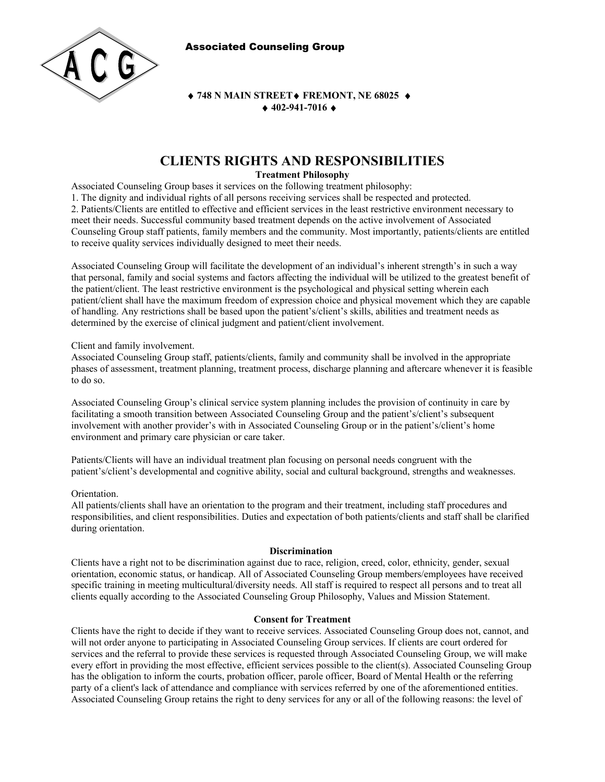Associated Counseling Group



**◆ 748 N MAIN STREET◆ FREMONT, NE 68025 ◆ 402-941-7016** 

# **CLIENTS RIGHTS AND RESPONSIBILITIES**

# **Treatment Philosophy**

Associated Counseling Group bases it services on the following treatment philosophy:

1. The dignity and individual rights of all persons receiving services shall be respected and protected. 2. Patients/Clients are entitled to effective and efficient services in the least restrictive environment necessary to meet their needs. Successful community based treatment depends on the active involvement of Associated Counseling Group staff patients, family members and the community. Most importantly, patients/clients are entitled to receive quality services individually designed to meet their needs.

Associated Counseling Group will facilitate the development of an individual's inherent strength's in such a way that personal, family and social systems and factors affecting the individual will be utilized to the greatest benefit of the patient/client. The least restrictive environment is the psychological and physical setting wherein each patient/client shall have the maximum freedom of expression choice and physical movement which they are capable of handling. Any restrictions shall be based upon the patient's/client's skills, abilities and treatment needs as determined by the exercise of clinical judgment and patient/client involvement.

Client and family involvement.

Associated Counseling Group staff, patients/clients, family and community shall be involved in the appropriate phases of assessment, treatment planning, treatment process, discharge planning and aftercare whenever it is feasible to do so.

Associated Counseling Group's clinical service system planning includes the provision of continuity in care by facilitating a smooth transition between Associated Counseling Group and the patient's/client's subsequent involvement with another provider's with in Associated Counseling Group or in the patient's/client's home environment and primary care physician or care taker.

Patients/Clients will have an individual treatment plan focusing on personal needs congruent with the patient's/client's developmental and cognitive ability, social and cultural background, strengths and weaknesses.

# Orientation.

All patients/clients shall have an orientation to the program and their treatment, including staff procedures and responsibilities, and client responsibilities. Duties and expectation of both patients/clients and staff shall be clarified during orientation.

# **Discrimination**

Clients have a right not to be discrimination against due to race, religion, creed, color, ethnicity, gender, sexual orientation, economic status, or handicap. All of Associated Counseling Group members/employees have received specific training in meeting multicultural/diversity needs. All staff is required to respect all persons and to treat all clients equally according to the Associated Counseling Group Philosophy, Values and Mission Statement.

#### **Consent for Treatment**

Clients have the right to decide if they want to receive services. Associated Counseling Group does not, cannot, and will not order anyone to participating in Associated Counseling Group services. If clients are court ordered for services and the referral to provide these services is requested through Associated Counseling Group, we will make every effort in providing the most effective, efficient services possible to the client(s). Associated Counseling Group has the obligation to inform the courts, probation officer, parole officer, Board of Mental Health or the referring party of a client's lack of attendance and compliance with services referred by one of the aforementioned entities. Associated Counseling Group retains the right to deny services for any or all of the following reasons: the level of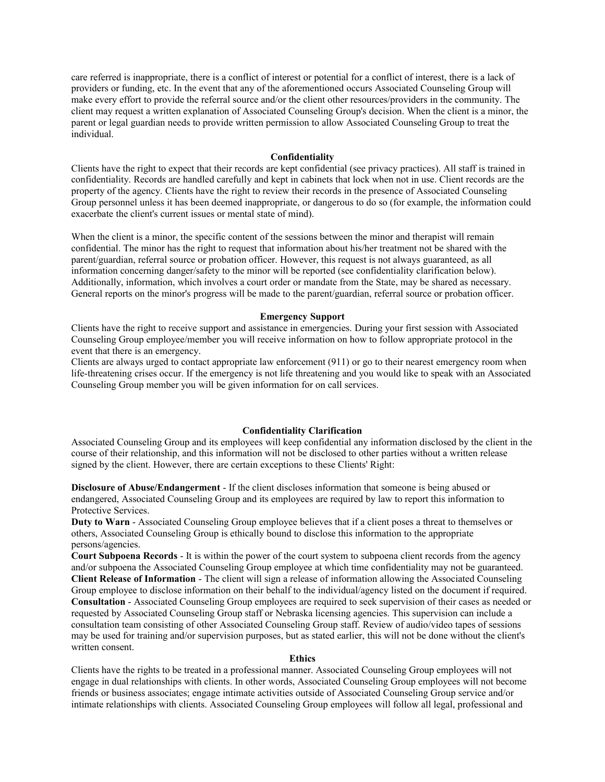care referred is inappropriate, there is a conflict of interest or potential for a conflict of interest, there is a lack of providers or funding, etc. In the event that any of the aforementioned occurs Associated Counseling Group will make every effort to provide the referral source and/or the client other resources/providers in the community. The client may request a written explanation of Associated Counseling Group's decision. When the client is a minor, the parent or legal guardian needs to provide written permission to allow Associated Counseling Group to treat the individual.

### **Confidentiality**

Clients have the right to expect that their records are kept confidential (see privacy practices). All staff is trained in confidentiality. Records are handled carefully and kept in cabinets that lock when not in use. Client records are the property of the agency. Clients have the right to review their records in the presence of Associated Counseling Group personnel unless it has been deemed inappropriate, or dangerous to do so (for example, the information could exacerbate the client's current issues or mental state of mind).

When the client is a minor, the specific content of the sessions between the minor and therapist will remain confidential. The minor has the right to request that information about his/her treatment not be shared with the parent/guardian, referral source or probation officer. However, this request is not always guaranteed, as all information concerning danger/safety to the minor will be reported (see confidentiality clarification below). Additionally, information, which involves a court order or mandate from the State, may be shared as necessary. General reports on the minor's progress will be made to the parent/guardian, referral source or probation officer.

### **Emergency Support**

Clients have the right to receive support and assistance in emergencies. During your first session with Associated Counseling Group employee/member you will receive information on how to follow appropriate protocol in the event that there is an emergency.

Clients are always urged to contact appropriate law enforcement (911) or go to their nearest emergency room when life-threatening crises occur. If the emergency is not life threatening and you would like to speak with an Associated Counseling Group member you will be given information for on call services.

## **Confidentiality Clarification**

Associated Counseling Group and its employees will keep confidential any information disclosed by the client in the course of their relationship, and this information will not be disclosed to other parties without a written release signed by the client. However, there are certain exceptions to these Clients' Right:

**Disclosure of Abuse/Endangerment** - If the client discloses information that someone is being abused or endangered, Associated Counseling Group and its employees are required by law to report this information to Protective Services.

**Duty to Warn** - Associated Counseling Group employee believes that if a client poses a threat to themselves or others, Associated Counseling Group is ethically bound to disclose this information to the appropriate persons/agencies.

**Court Subpoena Records** - It is within the power of the court system to subpoena client records from the agency and/or subpoena the Associated Counseling Group employee at which time confidentiality may not be guaranteed. **Client Release of Information** - The client will sign a release of information allowing the Associated Counseling Group employee to disclose information on their behalf to the individual/agency listed on the document if required. **Consultation** - Associated Counseling Group employees are required to seek supervision of their cases as needed or requested by Associated Counseling Group staff or Nebraska licensing agencies. This supervision can include a consultation team consisting of other Associated Counseling Group staff. Review of audio/video tapes of sessions may be used for training and/or supervision purposes, but as stated earlier, this will not be done without the client's written consent.

#### **Ethics**

Clients have the rights to be treated in a professional manner. Associated Counseling Group employees will not engage in dual relationships with clients. In other words, Associated Counseling Group employees will not become friends or business associates; engage intimate activities outside of Associated Counseling Group service and/or intimate relationships with clients. Associated Counseling Group employees will follow all legal, professional and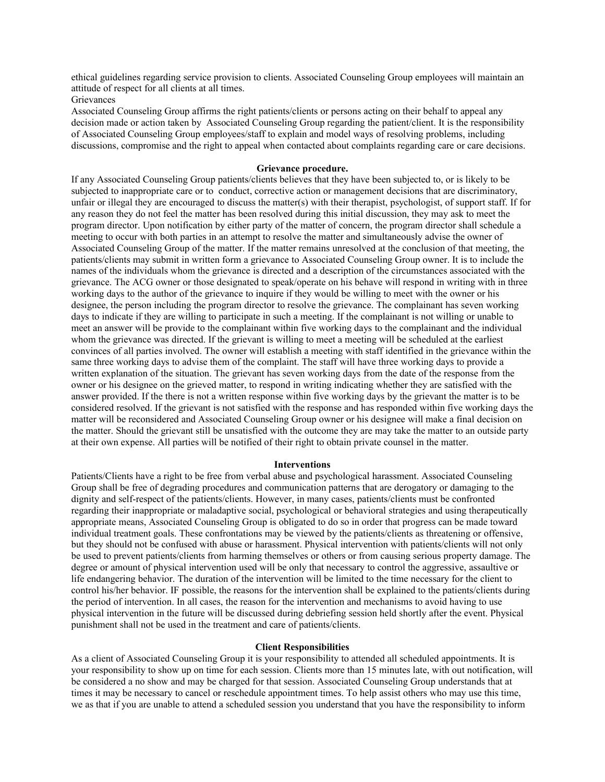ethical guidelines regarding service provision to clients. Associated Counseling Group employees will maintain an attitude of respect for all clients at all times.

# **Grievances**

Associated Counseling Group affirms the right patients/clients or persons acting on their behalf to appeal any decision made or action taken by Associated Counseling Group regarding the patient/client. It is the responsibility of Associated Counseling Group employees/staff to explain and model ways of resolving problems, including discussions, compromise and the right to appeal when contacted about complaints regarding care or care decisions.

## **Grievance procedure.**

If any Associated Counseling Group patients/clients believes that they have been subjected to, or is likely to be subjected to inappropriate care or to conduct, corrective action or management decisions that are discriminatory, unfair or illegal they are encouraged to discuss the matter(s) with their therapist, psychologist, of support staff. If for any reason they do not feel the matter has been resolved during this initial discussion, they may ask to meet the program director. Upon notification by either party of the matter of concern, the program director shall schedule a meeting to occur with both parties in an attempt to resolve the matter and simultaneously advise the owner of Associated Counseling Group of the matter. If the matter remains unresolved at the conclusion of that meeting, the patients/clients may submit in written form a grievance to Associated Counseling Group owner. It is to include the names of the individuals whom the grievance is directed and a description of the circumstances associated with the grievance. The ACG owner or those designated to speak/operate on his behave will respond in writing with in three working days to the author of the grievance to inquire if they would be willing to meet with the owner or his designee, the person including the program director to resolve the grievance. The complainant has seven working days to indicate if they are willing to participate in such a meeting. If the complainant is not willing or unable to meet an answer will be provide to the complainant within five working days to the complainant and the individual whom the grievance was directed. If the grievant is willing to meet a meeting will be scheduled at the earliest convinces of all parties involved. The owner will establish a meeting with staff identified in the grievance within the same three working days to advise them of the complaint. The staff will have three working days to provide a written explanation of the situation. The grievant has seven working days from the date of the response from the owner or his designee on the grieved matter, to respond in writing indicating whether they are satisfied with the answer provided. If the there is not a written response within five working days by the grievant the matter is to be considered resolved. If the grievant is not satisfied with the response and has responded within five working days the matter will be reconsidered and Associated Counseling Group owner or his designee will make a final decision on the matter. Should the grievant still be unsatisfied with the outcome they are may take the matter to an outside party at their own expense. All parties will be notified of their right to obtain private counsel in the matter.

#### **Interventions**

Patients/Clients have a right to be free from verbal abuse and psychological harassment. Associated Counseling Group shall be free of degrading procedures and communication patterns that are derogatory or damaging to the dignity and self-respect of the patients/clients. However, in many cases, patients/clients must be confronted regarding their inappropriate or maladaptive social, psychological or behavioral strategies and using therapeutically appropriate means, Associated Counseling Group is obligated to do so in order that progress can be made toward individual treatment goals. These confrontations may be viewed by the patients/clients as threatening or offensive, but they should not be confused with abuse or harassment. Physical intervention with patients/clients will not only be used to prevent patients/clients from harming themselves or others or from causing serious property damage. The degree or amount of physical intervention used will be only that necessary to control the aggressive, assaultive or life endangering behavior. The duration of the intervention will be limited to the time necessary for the client to control his/her behavior. IF possible, the reasons for the intervention shall be explained to the patients/clients during the period of intervention. In all cases, the reason for the intervention and mechanisms to avoid having to use physical intervention in the future will be discussed during debriefing session held shortly after the event. Physical punishment shall not be used in the treatment and care of patients/clients.

## **Client Responsibilities**

As a client of Associated Counseling Group it is your responsibility to attended all scheduled appointments. It is your responsibility to show up on time for each session. Clients more than 15 minutes late, with out notification, will be considered a no show and may be charged for that session. Associated Counseling Group understands that at times it may be necessary to cancel or reschedule appointment times. To help assist others who may use this time, we as that if you are unable to attend a scheduled session you understand that you have the responsibility to inform